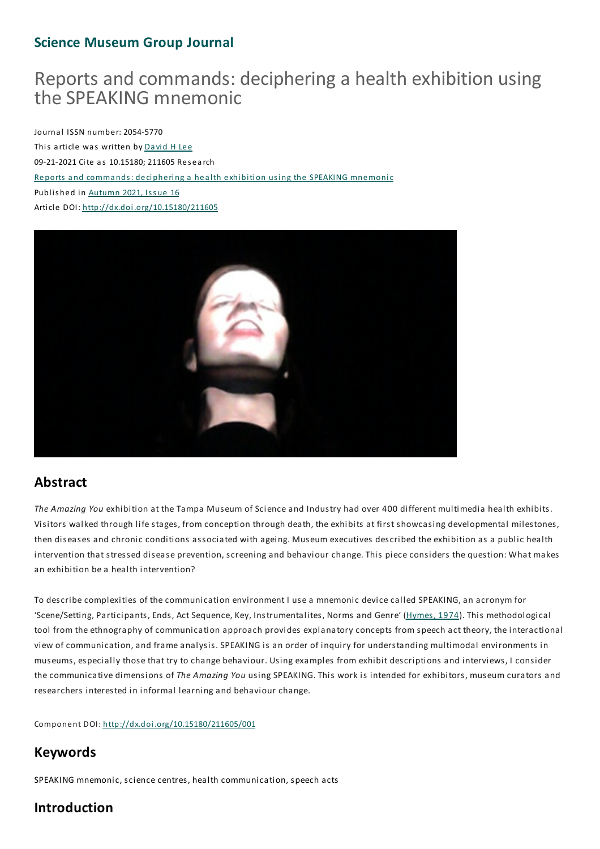# **Science Museum Group Journal**

# Reports and commands: deciphering a health exhibition using the SPEAKING mnemonic

Journal ISSN number: 2054-5770 This article was written by David H Lee 09-21-2021 Cite as 10.15180; 211605 Res earch Reports a nd comma nds: deciphering a health exhibition using the SPEAKING mnemonic Published in Autumn 2021, Issue 16 Article DOI: http://dx.doi.org/10.15180/211605



# **Abstract**

*The Amazing You* exhibition at the Tampa Museum of Science and Industry had over 400 different multimedia health exhibits. Visitors walked through life stages, from conception through death, the exhibits at first showcasing developmental milestones, then diseases and chronic conditions associated with ageing. Museum executives described the exhibition as a public health intervention that stressed disease prevention, screening and behaviour change. This piece considers the question: What makes an exhibition be a health intervention?

To describe complexities of the communication environment I use a mnemonic device called SPEAKING, an acronym for 'Scene/Setting, Participants, Ends, Act Sequence, Key, Instrumentalites, Norms and Genre' (Hymes, 1974). This methodological tool from the ethnography of communication approach provides explanatory concepts from speech act theory, the interactional view of communication, and frame analysis. SPEAKING is an order of inquiry for understanding multimodal environments in museums, especially those that try to change behaviour. Using examples from exhibit descriptions and interviews, I consider the communicative dimensions of *The Amazing You* using SPEAKING.This work is intended for exhibitors, museum curators and researchers interested in informal learning and behaviour change.

Component DOI: http://dx.doi.org/10.15180/211605/001

# **Keywords**

SPEAKING mnemonic, science centres, health communication, speech acts

# **Introduction**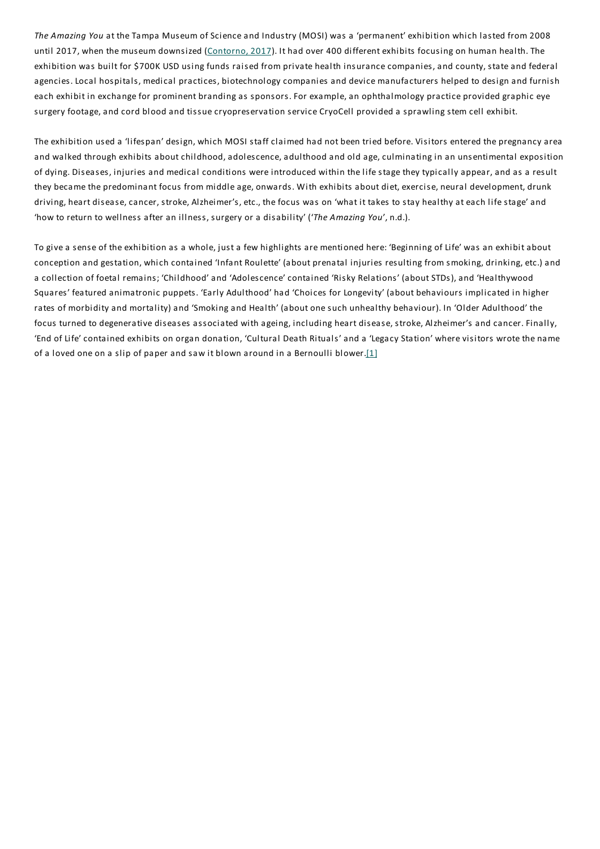*The Amazing You* at the Tampa Museum of Science and Industry (MOSI) was a 'permanent' exhibition which lasted from 2008 until 2017, when the museum downsized (Contorno, 2017). It had over 400 different exhibits focusing on human health.The exhibition was built for \$700K USD using funds raised from private health insurance companies, and county, state and federal agencies. Local hospitals, medical practices, biotechnology companies and device manufacturers helped to design and furnish each exhibit in exchange for prominent branding as sponsors. For example, an ophthalmology practice provided graphic eye surgery footage, and cord blood and tissue cryopreservation service CryoCell provided a sprawling stem cell exhibit.

The exhibition used a 'lifespan' design, which MOSI staff claimed had not been tried before. Visitors entered the pregnancy area and walked through exhibits about childhood, adolescence, adulthood and old age, culminating in an unsentimental exposition of dying. Diseases, injuries and medical conditions were introduced within the life stage they typically appear, and as a result they became the predominant focus from middle age, onwards. With exhibits about diet, exercise, neural development, drunk driving, heart disease, cancer, stroke, Alzheimer's, etc., the focus was on 'what it takes to stay healthy at each life stage' and 'how to return to wellness after an illness, surgery or a disability' ('*The Amazing You*', n.d.).

To give a sense of the exhibition as a whole, just a few highlights are mentioned here: 'Beginning of Life' was an exhibit about conception and gestation, which contained 'Infant Roulette' (about prenatal injuries resulting from smoking, drinking, etc.) and a collection of foetal remains; 'Childhood' and 'Adolescence' contained 'Risky Relations' (about STDs), and 'Healthywood Squares' featured animatronic puppets. 'Early Adulthood' had 'Choices for Longevity' (about behaviours implicated in higher rates of morbidity and mortality) and 'Smoking and Health' (about one such unhealthy behaviour). In 'Older Adulthood' the focus turned to degenerative diseases associated with ageing, including heart disease, stroke, Alzheimer's and cancer. Finally, 'End of Life' contained exhibits on organ donation, 'Cultural Death Rituals' and a 'Legacy Station' where visitors wrote the name of a loved one on a slip of paper and saw it blown around in a Bernoulli blower.[1]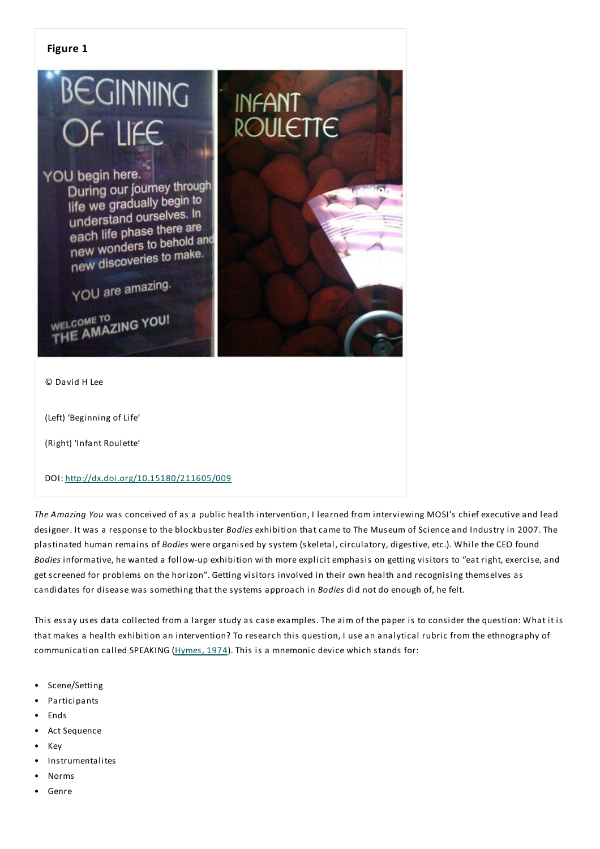

(Left) 'Beginning of Life'

(Right) 'Infant Roulette'

DOI: http://dx.doi.org/10.15180/211605/009

*The Amazing You* was conceived of as a public health intervention, I learned from interviewing MOSI's chief executive and lead designer. It was a response to the blockbuster *Bodies* exhibition that came to The Museum of Science and Industry in 2007.The plastinated human remains of *Bodies* were organised by system (skeletal, circulatory, digestive, etc.). While the CEO found *Bodies* informative, he wanted a follow-up exhibition with more explicit emphasis on getting visitors to "eat right, exercise, and get screened for problems on the horizon". Getting visitors involved in their own health and recognising themselves as candidates for disease was something that the systems approach in *Bodies* did not do enough of, he felt.

This essay uses data collected from a larger study as case examples. The aim of the paper is to consider the question: What it is that makes a health exhibition an intervention? To research this question, I use an analytical rubric from the ethnography of communication called SPEAKING (Hymes, 1974).This is a mnemonic device which stands for:

- Scene/Setting
- **Participants**
- Ends
- Act Sequence
- Key
- **Instrumentalites**
- Norms
- Genre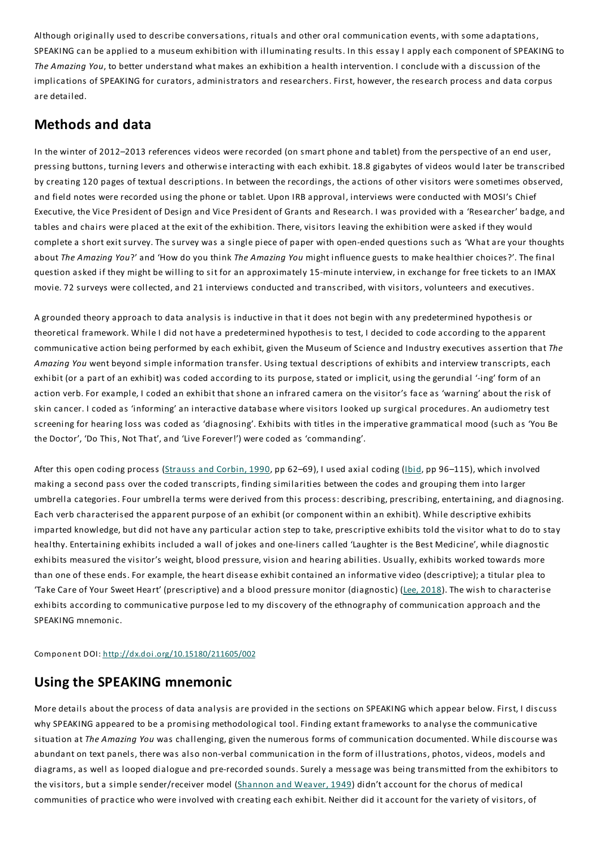Although originally used to describe conversations, rituals and other oral communication events, with some adaptations, SPEAKING can be applied to a museum exhibition with illuminating results. In this essay I apply each component of SPEAKING to *The Amazing You*, to better understand what makes an exhibition a health intervention. I conclude with a discussion of the implications of SPEAKING for curators, administrators and researchers. First, however, the research process and data corpus are detailed.

# **Methods and data**

In the winter of 2012–2013 references videos were recorded (on smart phone and tablet) from the perspective of an end user, pressing buttons, turning levers and otherwise interacting with each exhibit. 18.8 gigabytes of videos would later be transcribed by creating 120 pages of textual descriptions. In between the recordings, the actions of other visitors were sometimes observed, and field notes were recorded using the phone or tablet. Upon IRB approval, interviews were conducted with MOSI's Chief Executive, the Vice President of Design and Vice President of Grants and Research. I was provided with a 'Researcher' badge, and tables and chairs were placed at the exit of the exhibition.There, visitors leaving the exhibition were asked if they would complete a short exit survey.The survey was a single piece of paper with open-ended questions such as 'What are your thoughts about*The Amazing You*?' and 'How do you think *The Amazing You* might influence guests to make healthier choices?'.The final question asked if they might be willing to sit for an approximately 15-minute interview, in exchange for free tickets to an IMAX movie. 72 surveys were collected, and 21 interviews conducted and transcribed, with visitors, volunteers and executives.

A grounded theory approach to data analysis is inductive in that it does not begin with any predetermined hypothesis or theoretical framework. While I did not have a predetermined hypothesis to test, I decided to code according to the apparent communicative action being performed by each exhibit, given the Museum of Science and Industry executives assertion that*The Amazing You* went beyond simple information transfer. Using textual descriptions of exhibits and interview transcripts, each exhibit (or a part of an exhibit) was coded according to its purpose, stated or implicit, using the gerundial '-ing' form of an action verb. For example, I coded an exhibit that shone an infrared camera on the visitor's face as 'warning' about the risk of skin cancer. I coded as 'informing' an interactive database where visitors looked up surgical procedures. An audiometry test screening for hearing loss was coded as 'diagnosing'.Exhibits with titles in the imperative grammatical mood (such as 'You Be the Doctor', 'Do This, Not That', and 'Live Forever!') were coded as 'commanding'.

After this open coding process (Strauss and Corbin, 1990, pp 62-69), I used axial coding (*Ibid*, pp 96-115), which involved making a second pass over the coded transcripts, finding similarities between the codes and grouping them into larger umbrella categories. Four umbrella terms were derived from this process: describing, prescribing, entertaining, and diagnosing. Each verb characterised the apparent purpose of an exhibit (or component within an exhibit). While descriptive exhibits imparted knowledge, but did not have any particular action step to take, prescriptive exhibits told the visitor what to do to stay healthy.Entertaining exhibits included a wall of jokes and one-liners called 'Laughter is the Best Medicine', while diagnostic exhibits measured the visitor's weight, blood pressure, vision and hearing abilities. Usually, exhibits worked towards more than one of these ends. For example, the heart disease exhibit contained an informative video (descriptive); a titular plea to 'Take Care of Your Sweet Heart' (prescriptive) and a blood pressure monitor (diagnostic) (Lee, 2018). The wish to characterise exhibits according to communicative purpose led to my discovery of the ethnography of communication approach and the SPEAKING mnemonic.

Component DOI: http://dx.doi.org/10.15180/211605/002

# **Using the SPEAKING mnemonic**

More details about the process of data analysis are provided in the sections on SPEAKING which appear below. First, I discuss why SPEAKING appeared to be a promising methodological tool. Finding extant frameworks to analyse the communicative situation at*The Amazing You* was challenging, given the numerous forms of communication documented. While discourse was abundant on text panels, there was also non-verbal communication in the form of illustrations, photos, videos, models and diagrams, as well as looped dialogue and pre-recorded sounds. Surely a message was being transmitted from the exhibitors to the visitors, but a simple sender/receiver model (Shannon and Weaver, 1949) didn't account for the chorus of medical communities of practice who were involved with creating each exhibit. Neither did it account for the variety of visitors, of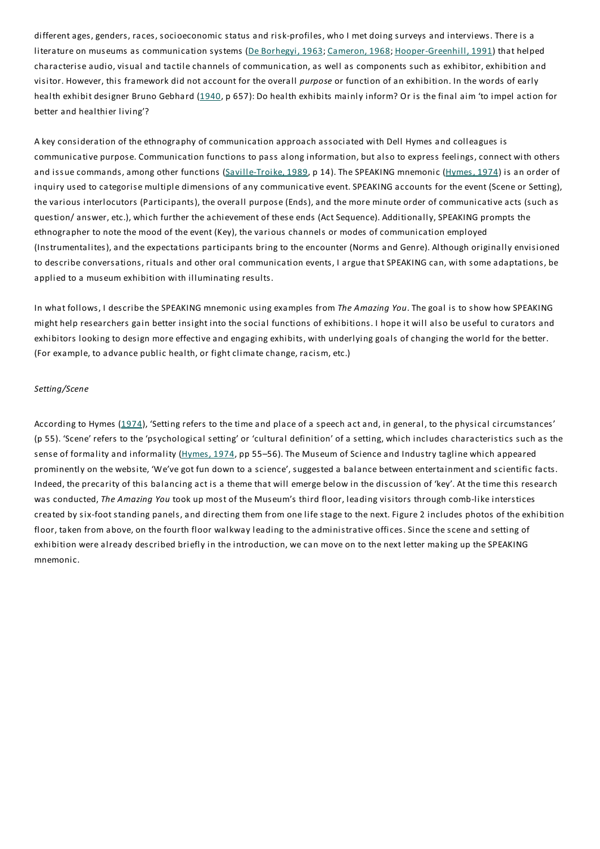different ages, genders, races, socioeconomic status and risk-profiles, who I met doing surveys and interviews. There is a literature on museums as communication systems (De Borhegyi, 1963; Cameron, 1968; Hooper-Greenhill, 1991) that helped characterise audio, visual and tactile channels of communication, as well as components such as exhibitor, exhibition and visitor. However, this framework did not account for the overall *purpose* or function of an exhibition. In the words of early health exhibit designer Bruno Gebhard (1940, p 657): Do health exhibits mainly inform? Or is the final aim 'to impel action for better and healthier living'?

A key consideration of the ethnography of communication approach associated with Dell Hymes and colleagues is communicative purpose. Communication functions to pass along information, but also to express feelings, connect with others and issue commands, among other functions (Saville-Troike, 1989, p 14). The SPEAKING mnemonic (Hymes, 1974) is an order of inquiry used to categorise multiple dimensions of any communicative event. SPEAKING accounts for the event (Scene or Setting), the various interlocutors (Participants), the overall purpose (Ends), and the more minute order of communicative acts (such as question/ answer, etc.), which further the achievement of these ends (Act Sequence). Additionally, SPEAKING prompts the ethnographer to note the mood of the event (Key), the various channels or modes of communication employed (Instrumentalites), and the expectations participants bring to the encounter (Norms and Genre). Although originally envisioned to describe conversations, rituals and other oral communication events, I argue that SPEAKING can, with some adaptations, be applied to a museum exhibition with illuminating results.

In what follows, I describe the SPEAKING mnemonic using examples from *The Amazing You*.The goal is to show how SPEAKING might help researchers gain better insight into the social functions of exhibitions. I hope it will also be useful to curators and exhibitors looking to design more effective and engaging exhibits, with underlying goals of changing the world for the better. (For example, to advance public health, or fight climate change, racism, etc.)

#### *Setting/Scene*

According to Hymes (1974), 'Setting refers to the time and place of a speech act and, in general, to the physical circumstances' (p 55). 'Scene' refers to the 'psychological setting' or 'cultural definition' of a setting, which includes characteristics such as the sense of formality and informality (Hymes, 1974, pp 55–56). The Museum of Science and Industry tagline which appeared prominently on the website, 'We've got fun down to a science', suggested a balance between entertainment and scientific facts. Indeed, the precarity of this balancing act is a theme that will emerge below in the discussion of 'key'. At the time this research was conducted,*The Amazing You* took up most of the Museum's third floor, leading visitors through comb-like interstices created by six-foot standing panels, and directing them from one life stage to the next. Figure 2 includes photos of the exhibition floor, taken from above, on the fourth floor walkway leading to the administrative offices. Since the scene and setting of exhibition were already described briefly in the introduction, we can move on to the next letter making up the SPEAKING mnemonic.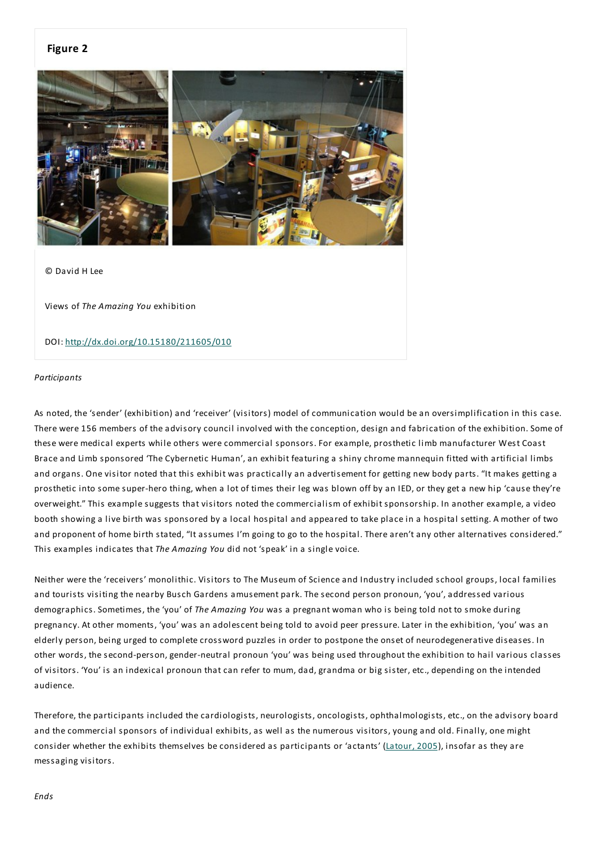#### **Figure 2**



© David H Lee

Views of *The Amazing You* exhibition

DOI: http://dx.doi.org/10.15180/211605/010

#### *Participants*

As noted, the 'sender' (exhibition) and 'receiver' (visitors) model of communication would be an oversimplification in this case. There were 156 members of the advisory council involved with the conception, design and fabrication of the exhibition. Some of these were medical experts while others were commercial sponsors. For example, prosthetic limb manufacturer West Coast Brace and Limb sponsored 'The Cybernetic Human', an exhibit featuring a shiny chrome mannequin fitted with artificial limbs and organs. One visitor noted that this exhibit was practically an advertisement for getting new body parts. "It makes getting a prosthetic into some super-hero thing, when a lot of times their leg was blown off by an IED, or they get a new hip 'cause they're overweight."This example suggests that visitors noted the commercialism of exhibit sponsorship. In another example, a video booth showing a live birth was sponsored by a local hospital and appeared to take place in a hospital setting. A mother of two and proponent of home birth stated, "It assumes I'm going to go to the hospital. There aren't any other alternatives considered." This examples indicates that*The Amazing You* did not 'speak' in a single voice.

Neither were the 'receivers' monolithic. Visitors to The Museum of Science and Industry included school groups, local families and tourists visiting the nearby Busch Gardens amusement park.The second person pronoun, 'you', addressed various demographics. Sometimes, the 'you' of *The Amazing You* was a pregnant woman who is being told not to smoke during pregnancy. At other moments, 'you' was an adolescent being told to avoid peer pressure. Later in the exhibition, 'you' was an elderly person, being urged to complete crossword puzzles in order to postpone the onset of neurodegenerative diseases. In other words, the second-person, gender-neutral pronoun 'you' was being used throughout the exhibition to hail various classes of visitors. 'You' is an indexical pronoun that can refer to mum, dad, grandma or big sister, etc., depending on the intended audience.

Therefore, the participants included the cardiologists, neurologists, oncologists, ophthalmologists, etc., on the advisory board and the commercial sponsors of individual exhibits, as well as the numerous visitors, young and old. Finally, one might consider whether the exhibits themselves be considered as participants or 'actants' (Latour, 2005), insofar as they are messaging visitors.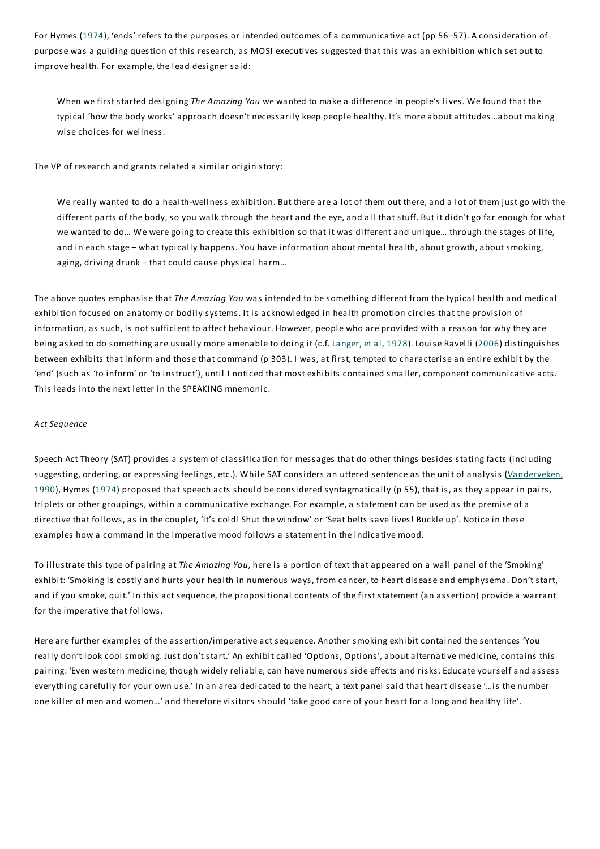For Hymes (1974), 'ends' refers to the purposes or intended outcomes of a communicative act (pp 56–57). A consideration of purpose was a guiding question of this research, as MOSI executives suggested that this was an exhibition which set out to improve health. For example, the lead designer said:

When we first started designing *The Amazing You* we wanted to make a difference in people's lives. We found that the typical 'how the body works' approach doesn't necessarily keep people healthy. It's more about attitudes…about making wise choices for wellness.

The VP of research and grants related a similar origin story:

We really wanted to do a health-wellness exhibition. But there are a lot of them out there, and a lot of them just go with the different parts of the body, so you walk through the heart and the eye, and all that stuff. But it didn't go far enough for what we wanted to do… We were going to create this exhibition so that it was different and unique… through the stages of life, and in each stage – what typically happens.You have information about mental health, about growth, about smoking, aging, driving drunk – that could cause physical harm…

The above quotes emphasise that*The Amazing You* was intended to be something different from the typical health and medical exhibition focused on anatomy or bodily systems. It is acknowledged in health promotion circles that the provision of information, as such, is not sufficient to affect behaviour. However, people who are provided with a reason for why they are being asked to do something are usually more amenable to doing it (c.f. Langer, et al, 1978). Louise Ravelli (2006) distinguishes between exhibits that inform and those that command (p 303). I was, at first, tempted to characterise an entire exhibit by the 'end' (such as 'to inform' or 'to instruct'), until I noticed that most exhibits contained smaller, component communicative acts. This leads into the next letter in the SPEAKING mnemonic.

#### *Act Sequence*

Speech Act Theory (SAT) provides a system of classification for messages that do other things besides stating facts (including suggesting, ordering, or expressing feelings, etc.). While SAT considers an uttered sentence as the unit of analysis (Vanderveken, 1990), Hymes (1974) proposed that speech acts should be considered syntagmatically (p 55), that is, as they appear in pairs, triplets or other groupings, within a communicative exchange. For example, a statement can be used as the premise of a directive that follows, as in the couplet, 'It's cold! Shut the window' or 'Seat belts save lives! Buckle up'. Notice in these examples how a command in the imperative mood follows a statement in the indicative mood.

To illustrate this type of pairing at*The Amazing You*, here is a portion of text that appeared on a wall panel of the 'Smoking' exhibit: 'Smoking is costly and hurts your health in numerous ways, from cancer, to heart disease and emphysema. Don't start, and if you smoke, quit.' In this act sequence, the propositional contents of the first statement (an assertion) provide a warrant for the imperative that follows.

Here are further examples of the assertion/imperative act sequence. Another smoking exhibit contained the sentences 'You really don't look cool smoking. Just don't start.' An exhibit called 'Options, Options', about alternative medicine, contains this pairing: 'Even western medicine, though widely reliable, can have numerous side effects and risks.Educate yourself and assess everything carefully for your own use.' In an area dedicated to the heart, a text panel said that heart disease '…is the number one killer of men and women…' and therefore visitors should 'take good care of your heart for a long and healthy life'.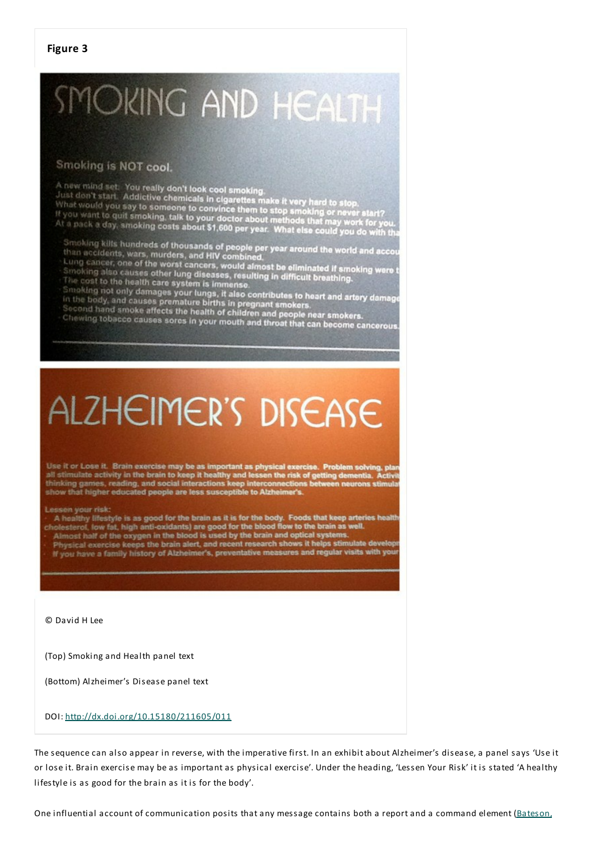#### **Figure 3**

# SMOKING AND HEALTH

# Smoking is NOT cool.

A new mind set. You really don't look cool smoking.<br>Just don't start. Addictive chemicals in cigarettes make it very hard to stop.<br>What would you say to someone to convince them to stop smoking or never start?<br>If you want

Smoking kills hundreds of thousands of people per year. what eise could you do with that accidents, wars, murders, and HIV combined.<br>than accidents, wars, murders, and HIV combined.<br>Lung cancer, one of the worst cancers, w

# **ALZHEIMER'S DISEASE**

Use it or Lose it. Brain exercise may be as important as physical exercise. Problem solving, pla<br>all stimulate activity in the brain to keep it healthy and lessen the risk of getting dementia. Activ<br>thinking games, reading

#### Lessen your risk:

A healthy lifestyle is as good for the brain as it is for the body. Foods that keep arteries health<br>holesterof, low fat, high anti-oxidants) are good for the blood flow to the brain as well.<br>Almost half of the oxygen in th

Almost nair or the oxygen in the blood is used by the orain and opacal systems.<br>Physical exercise keeps the brain alert, and recent research shows it helps stimulate develop<br>If you have a family history of Alzheimer's, pre

© David H Lee

(Top) Smoking and Health panel text

(Bottom) Alzheimer's Disease panel text

#### DOI: http://dx.doi.org/10.15180/211605/011

The sequence can also appear in reverse, with the imperative first. In an exhibit about Alzheimer's disease, a panel says 'Use it or lose it. Brain exercise may be as important as physical exercise'. Under the heading, 'Lessen Your Risk' it is stated 'A healthy lifestyle is as good for the brain as it is for the body'.

One influential account of communication posits that any message contains both a report and a command element (Bateson,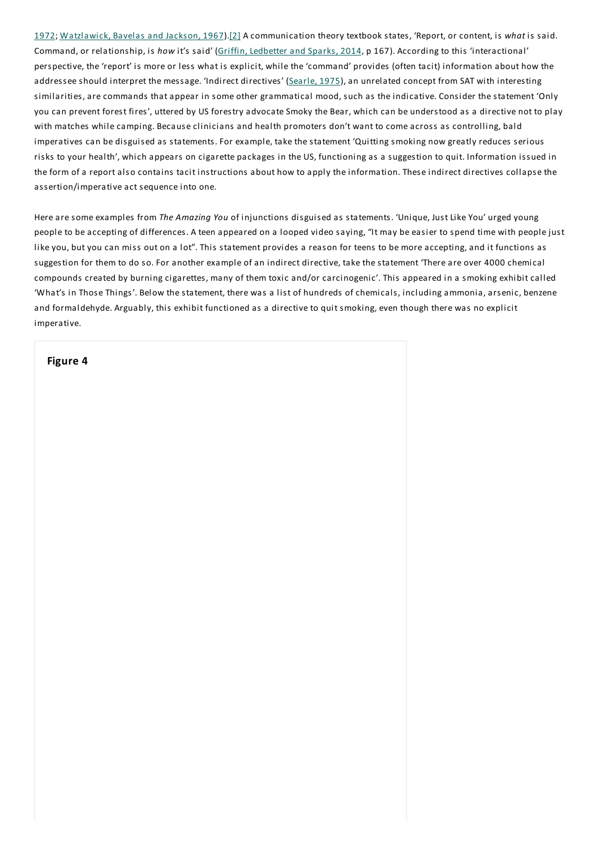1972; Watzlawick, Bavelas and Jackson, 1967).[2] A communication theory textbook states, 'Report, or content, is *what* is said. Command, or relationship, is *how* it's said' (Griffin, Ledbetter and Sparks, 2014, p 167). According to this 'interactional' perspective, the 'report' is more or less what is explicit, while the 'command' provides (often tacit) information about how the addressee should interpret the message. 'Indirect directives' (Searle, 1975), an unrelated concept from SAT with interesting similarities, are commands that appear in some other grammatical mood, such as the indicative. Consider the statement 'Only you can prevent forest fires', uttered by US forestry advocate Smoky the Bear, which can be understood as a directive not to play with matches while camping. Because clinicians and health promoters don't want to come across as controlling, bald imperatives can be disguised as statements. For example, take the statement 'Quitting smoking now greatly reduces serious risks to your health', which appears on cigarette packages in the US, functioning as a suggestion to quit. Information issued in the form of a report also contains tacit instructions about how to apply the information.These indirect directives collapse the assertion/imperative act sequence into one.

Here are some examples from *The Amazing You* of injunctions disguised as statements. 'Unique, Just Like You' urged young people to be accepting of differences. A teen appeared on a looped video saying, "It may be easier to spend time with people just like you, but you can miss out on a lot".This statement provides a reason for teens to be more accepting, and it functions as suggestion for them to do so. For another example of an indirect directive, take the statement 'There are over 4000 chemical compounds created by burning cigarettes, many of them toxic and/or carcinogenic'.This appeared in a smoking exhibit called 'What's in Those Things'. Below the statement, there was a list of hundreds of chemicals, including ammonia, arsenic, benzene and formaldehyde. Arguably, this exhibit functioned as a directive to quit smoking, even though there was no explicit imperative.

#### **Figure 4**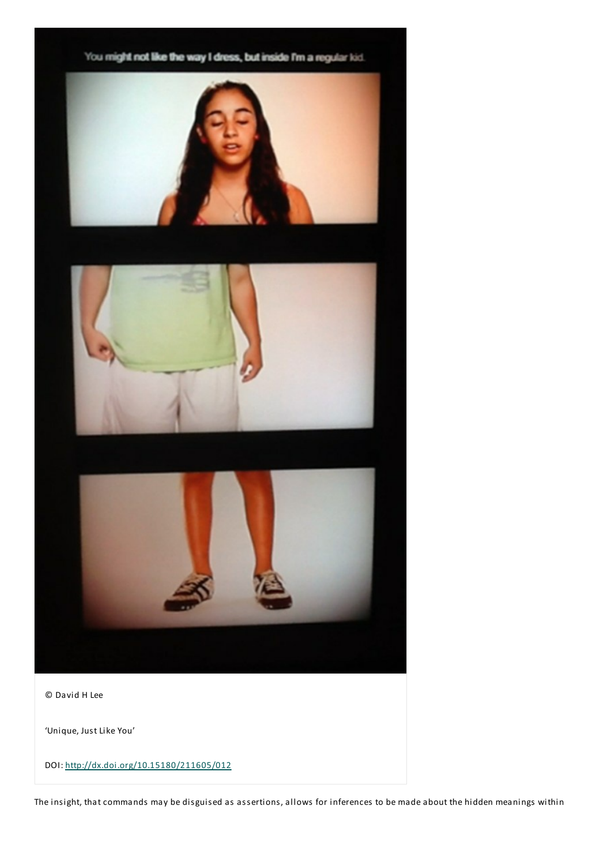

© David H Lee

'Unique, Just Like You'

DOI: http://dx.doi.org/10.15180/211605/012

The insight, that commands may be disguised as assertions, allows for inferences to be made about the hidden meanings within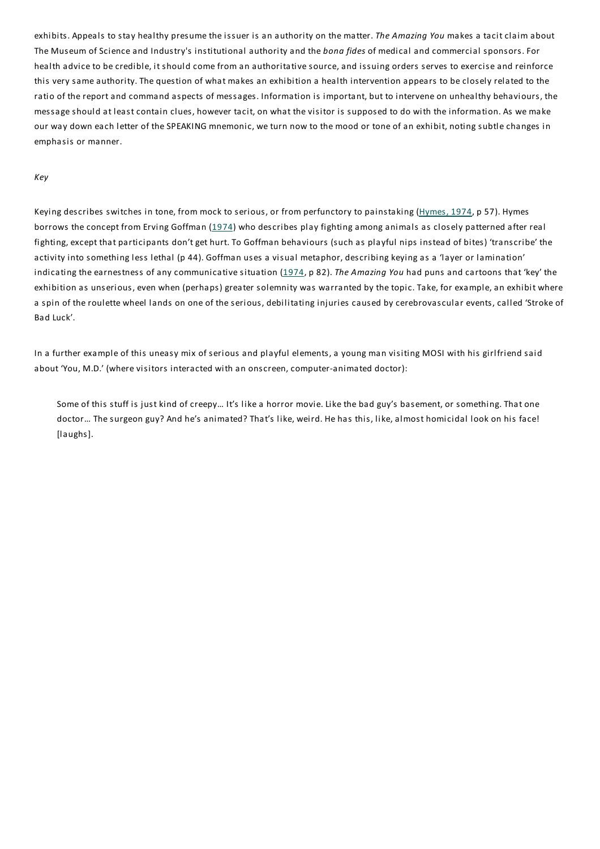exhibits. Appeals to stay healthy presume the issuer is an authority on the matter.*The Amazing You* makes a tacit claim about The Museum of Science and Industry's institutional authority and the *bona fides* of medical and commercial sponsors. For health advice to be credible, it should come from an authoritative source, and issuing orders serves to exercise and reinforce this very same authority.The question of what makes an exhibition a health intervention appears to be closely related to the ratio of the report and command aspects of messages. Information is important, but to intervene on unhealthy behaviours, the message should at least contain clues, however tacit, on what the visitor is supposed to do with the information. As we make our way down each letter of the SPEAKING mnemonic, we turn now to the mood or tone of an exhibit, noting subtle changes in emphasis or manner.

#### *Key*

Keying describes switches in tone, from mock to serious, or from perfunctory to painstaking (Hymes, 1974, p 57). Hymes borrows the concept from Erving Goffman (1974) who describes play fighting among animals as closely patterned after real fighting, except that participants don't get hurt.To Goffman behaviours (such as playful nips instead of bites) 'transcribe' the activity into something less lethal (p 44). Goffman uses a visual metaphor, describing keying as a 'layer or lamination' indicating the earnestness of any communicative situation (1974, p 82).*The Amazing You* had puns and cartoons that 'key' the exhibition as unserious, even when (perhaps) greater solemnity was warranted by the topic. Take, for example, an exhibit where a spin of the roulette wheel lands on one of the serious, debilitating injuries caused by cerebrovascular events, called 'Stroke of Bad Luck'.

In a further example of this uneasy mix of serious and playful elements, a young man visiting MOSI with his girlfriend said about 'You, M.D.' (where visitors interacted with an onscreen, computer-animated doctor):

Some of this stuff is just kind of creepy... It's like a horror movie. Like the bad guy's basement, or something. That one doctor… The surgeon guy? And he's animated? That's like, weird. He has this, like, almost homicidal look on his face! [laughs].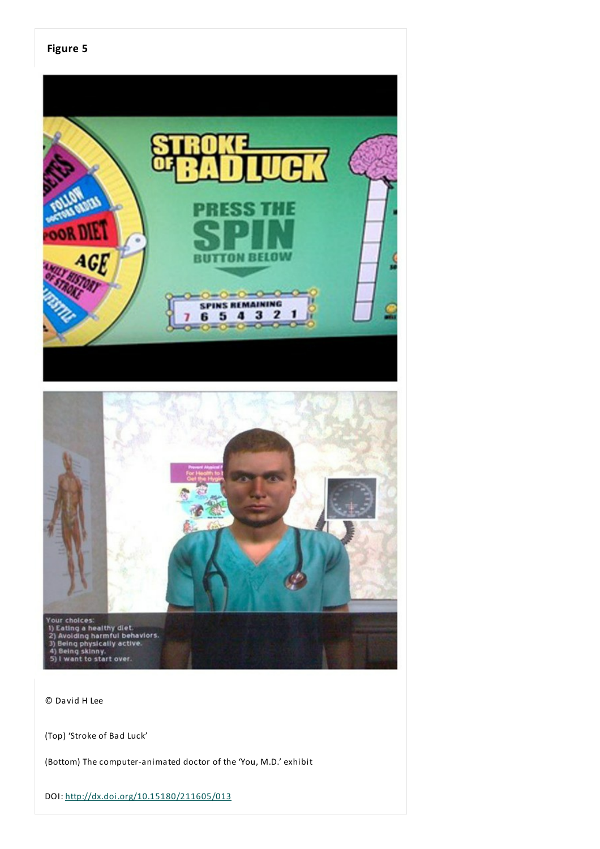

© David H Lee

(Top) 'Stroke of Bad Luck'

(Bottom) The computer-animated doctor of the 'You, M.D.' exhibit

DOI: http://dx.doi.org/10.15180/211605/013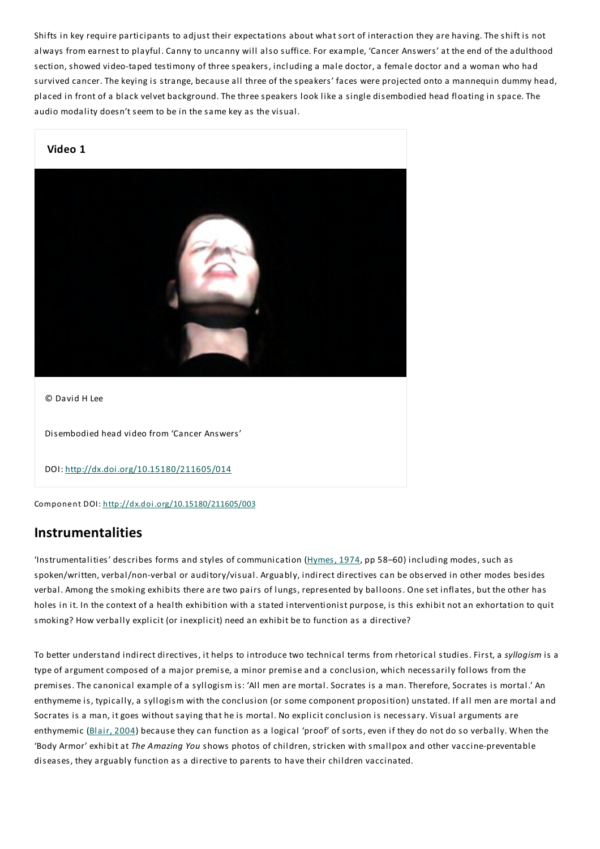Shifts in key require participants to adjust their expectations about what sort of interaction they are having.The shift is not always from earnest to playful. Canny to uncanny will also suffice. For example, 'Cancer Answers' at the end of the adulthood section, showed video-taped testimony of three speakers, including a male doctor, a female doctor and a woman who had survived cancer.The keying is strange, because all three of the speakers' faces were projected onto a mannequin dummy head, placed in front of a black velvet background.The three speakers look like a single disembodied head floating in space.The audio modality doesn't seem to be in the same key as the visual.



Component DOI: http://dx.doi.org/10.15180/211605/003

# **Instrumentalities**

'Instrumentalities' describes forms and styles of communication (Hymes, 1974, pp 58–60) including modes, such as spoken/written, verbal/non-verbal or auditory/visual. Arguably, indirect directives can be observed in other modes besides verbal. Among the smoking exhibits there are two pairs of lungs, represented by balloons. One set inflates, but the other has holes in it. In the context of a health exhibition with a stated interventionist purpose, is this exhibit not an exhortation to quit smoking? How verbally explicit (or inexplicit) need an exhibit be to function as a directive?

To better understand indirect directives, it helps to introduce two technical terms from rhetorical studies. First, a *syllogism* is a type of argument composed of a major premise, a minor premise and a conclusion, which necessarily follows from the premises.The canonical example of a syllogism is: 'All men are mortal. Socrates is a man.Therefore, Socrates is mortal.' An enthymeme is, typically, a syllogism with the conclusion (or some component proposition) unstated. If all men are mortal and Socrates is a man, it goes without saying that he is mortal. No explicit conclusion is necessary. Visual arguments are enthymemic (Blair, 2004) because they can function as a logical 'proof' of sorts, even if they do not do so verbally. When the 'Body Armor' exhibit at*The Amazing You* shows photos of children, stricken with smallpox and other vaccine-preventable diseases, they arguably function as a directive to parents to have their children vaccinated.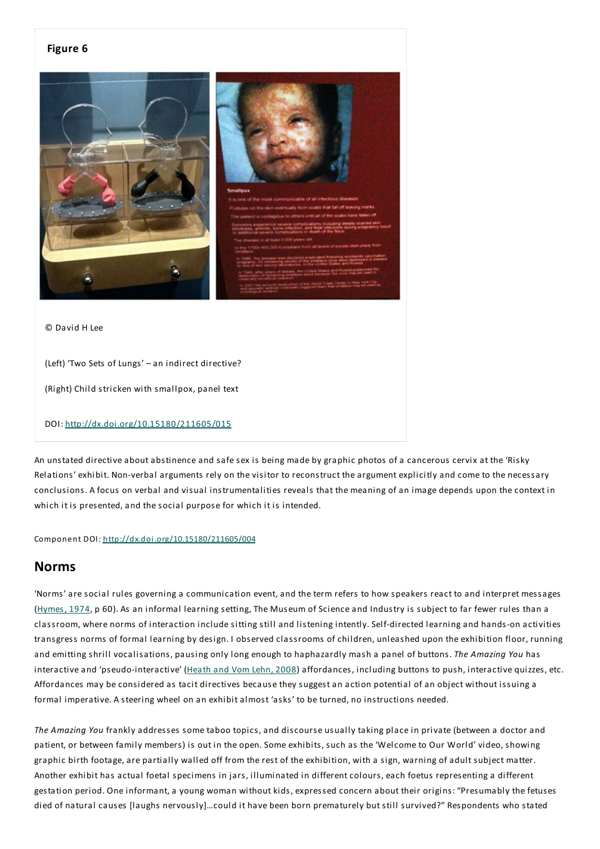#### **Figure 6**



© David H Lee

(Left) 'Two Sets of Lungs' – an indirect directive?

(Right) Child stricken with smallpox, panel text

#### DOI: http://dx.doi.org/10.15180/211605/015

An unstated directive about abstinence and safe sex is being made by graphic photos of a cancerous cervix at the 'Risky Relations' exhibit. Non-verbal arguments rely on the visitor to reconstruct the argument explicitly and come to the necessary conclusions. A focus on verbal and visual instrumentalities reveals that the meaning of an image depends upon the context in which it is presented, and the social purpose for which it is intended.

Component DOI: http://dx.doi.org/10.15180/211605/004

## **Norms**

'Norms' are social rules governing a communication event, and the term refers to how speakers react to and interpret messages (Hymes, 1974, p 60). As an informal learning setting, The Museum of Science and Industry is subject to far fewer rules than a classroom, where norms of interaction include sitting still and listening intently. Self-directed learning and hands-on activities transgress norms of formal learning by design. I observed classrooms of children, unleashed upon the exhibition floor, running and emitting shrill vocalisations, pausing only long enough to haphazardly mash a panel of buttons.*The Amazing You* has interactive and 'pseudo-interactive' (Heath and Vom Lehn, 2008) affordances, including buttons to push, interactive quizzes, etc. Affordances may be considered as tacit directives because they suggest an action potential of an object without issuing a formal imperative. A steering wheel on an exhibit almost 'asks' to be turned, no instructions needed.

*The Amazing You* frankly addresses some taboo topics, and discourse usually taking place in private (between a doctor and patient, or between family members) is out in the open. Some exhibits, such as the 'Welcome to Our World' video, showing graphic birth footage, are partially walled off from the rest of the exhibition, with a sign, warning of adult subject matter. Another exhibit has actual foetal specimens in jars, illuminated in different colours, each foetus representing a different gestation period. One informant, a young woman without kids, expressed concern about their origins: "Presumably the fetuses died of natural causes [laughs nervously]…could it have been born prematurely but still survived?" Respondents who stated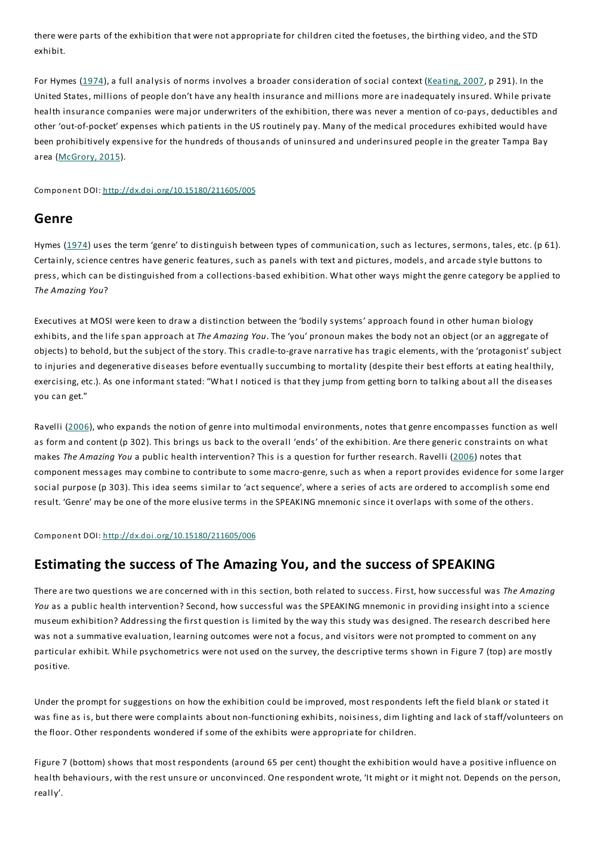there were parts of the exhibition that were not appropriate for children cited the foetuses, the birthing video, and the STD exhibit.

For Hymes (1974), a full analysis of norms involves a broader consideration of social context (Keating, 2007, p 291). In the United States, millions of people don't have any health insurance and millions more are inadequately insured. While private health insurance companies were major underwriters of the exhibition, there was never a mention of co-pays, deductibles and other 'out-of-pocket' expenses which patients in the US routinely pay. Many of the medical procedures exhibited would have been prohibitively expensive for the hundreds of thousands of uninsured and underinsured people in the greater Tampa Bay area (McGrory, 2015).

Component DOI: http://dx.doi.org/10.15180/211605/005

## **Genre**

Hymes (1974) uses the term 'genre' to distinguish between types of communication, such as lectures, sermons, tales, etc. (p 61). Certainly, science centres have generic features, such as panels with text and pictures, models, and arcade style buttons to press, which can be distinguished from a collections-based exhibition. What other ways might the genre category be applied to *The Amazing You*?

Executives at MOSI were keen to draw a distinction between the 'bodily systems' approach found in other human biology exhibits, and the life span approach at*The Amazing You*.The 'you' pronoun makes the body not an object (or an aggregate of objects) to behold, but the subject of the story.This cradle-to-grave narrative has tragic elements, with the 'protagonist' subject to injuries and degenerative diseases before eventually succumbing to mortality (despite their best efforts at eating healthily, exercising, etc.). As one informant stated: "What I noticed is that they jump from getting born to talking about all the diseases you can get."

Ravelli (2006), who expands the notion of genre into multimodal environments, notes that genre encompasses function as well as form and content (p 302). This brings us back to the overall 'ends' of the exhibition. Are there generic constraints on what makes *The Amazing You* a public health intervention? This is a question for further research. Ravelli (2006) notes that component messages may combine to contribute to some macro-genre, such as when a report provides evidence for some larger social purpose (p 303). This idea seems similar to 'act sequence', where a series of acts are ordered to accomplish some end result. 'Genre' may be one of the more elusive terms in the SPEAKING mnemonic since it overlaps with some of the others.

Component DOI: http://dx.doi.org/10.15180/211605/006

# **Estimating the success of The Amazing You, and the success of SPEAKING**

There are two questions we are concerned with in this section, both related to success. First, how successful was *The Amazing You* as a public health intervention? Second, how successful was the SPEAKING mnemonic in providing insight into a science museum exhibition? Addressing the first question is limited by the way this study was designed.The research described here was not a summative evaluation, learning outcomes were not a focus, and visitors were not prompted to comment on any particular exhibit. While psychometrics were not used on the survey, the descriptive terms shown in Figure 7 (top) are mostly positive.

Under the prompt for suggestions on how the exhibition could be improved, most respondents left the field blank or stated it was fine as is, but there were complaints about non-functioning exhibits, noisiness, dim lighting and lack of staff/volunteers on the floor. Other respondents wondered if some of the exhibits were appropriate for children.

Figure 7 (bottom) shows that most respondents (around 65 per cent) thought the exhibition would have a positive influence on health behaviours, with the rest unsure or unconvinced. One respondent wrote, 'It might or it might not. Depends on the person, really'.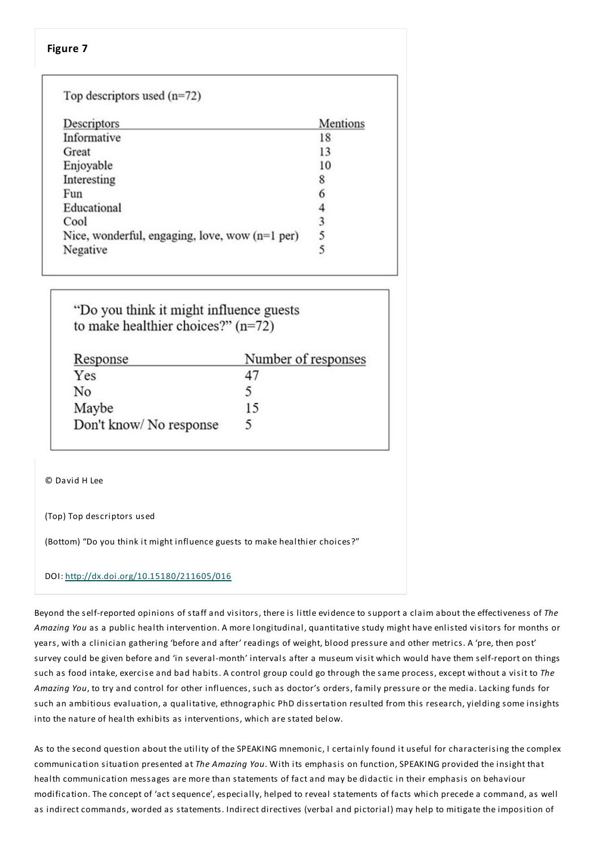#### Top descriptors used  $(n=72)$ Descriptors Mentions Informative 18 Great 13 Enjoyable 10 Interesting 8 6 Fun Educational  $\overline{4}$ 3 Cool 5 Nice, wonderful, engaging, love, wow  $(n=1$  per) 5 Negative

"Do you think it might influence guests to make healthier choices?"  $(n=72)$ 

| Response               | Number of responses |
|------------------------|---------------------|
| Yes                    | 47                  |
| No                     | ╮                   |
| Maybe                  | 15                  |
| Don't know/No response | 5                   |

© David H Lee

(Top) Top descriptors used

(Bottom) "Do you think it might influence guests to make healthier choices?"

#### DOI: http://dx.doi.org/10.15180/211605/016

Beyond the self-reported opinions of staff and visitors, there is little evidence to support a claim about the effectiveness of *The Amazing You* as a public health intervention. A more longitudinal, quantitative study might have enlisted visitors for months or years, with a clinician gathering 'before and after' readings of weight, blood pressure and other metrics. A 'pre, then post' survey could be given before and 'in several-month' intervals after a museum visit which would have them self-report on things such as food intake, exercise and bad habits. A control group could go through the same process, except without a visit to *The Amazing You*, to try and control for other influences, such as doctor's orders, family pressure or the media. Lacking funds for such an ambitious evaluation, a qualitative, ethnographic PhD dissertation resulted from this research, yielding some insights into the nature of health exhibits as interventions, which are stated below.

As to the second question about the utility of the SPEAKING mnemonic, I certainly found it useful for characterising the complex communication situation presented at*The Amazing You*. With its emphasis on function, SPEAKING provided the insight that health communication messages are more than statements of fact and may be didactic in their emphasis on behaviour modification.The concept of 'act sequence', especially, helped to reveal statements of facts which precede a command, as well as indirect commands, worded as statements. Indirect directives (verbal and pictorial) may help to mitigate the imposition of

#### **Figure 7**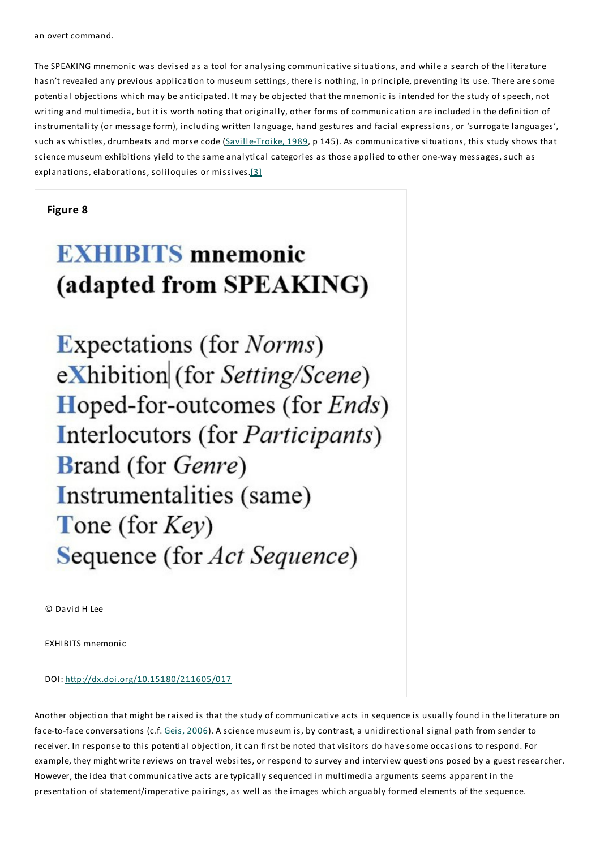an overt command.

The SPEAKING mnemonic was devised as a tool for analysing communicative situations, and while a search of the literature hasn't revealed any previous application to museum settings, there is nothing, in principle, preventing its use.There are some potential objections which may be anticipated. It may be objected that the mnemonic is intended for the study of speech, not writing and multimedia, but it is worth noting that originally, other forms of communication are included in the definition of instrumentality (or message form), including written language, hand gestures and facial expressions, or 'surrogate languages', such as whistles, drumbeats and morse code (Saville-Troike, 1989, p 145). As communicative situations, this study shows that science museum exhibitions yield to the same analytical categories as those applied to other one-way messages, such as explanations, elaborations, soliloquies or missives.[3]

#### **Figure 8**

# **EXHIBITS** mnemonic (adapted from SPEAKING)

**Expectations (for** *Norms*) eXhibition (for Setting/Scene) **Hoped-for-outcomes (for Ends)** Interlocutors (for Participants) **Brand** (for *Genre*) Instrumentalities (same) Tone (for  $Key$ ) Sequence (for Act Sequence)

© David H Lee

EXHIBITS mnemonic

DOI: http://dx.doi.org/10.15180/211605/017

Another objection that might be raised is that the study of communicative acts in sequence is usually found in the literature on face-to-face conversations (c.f. Geis, 2006). A science museum is, by contrast, a unidirectional signal path from sender to receiver. In response to this potential objection, it can first be noted that visitors do have some occasions to respond. For example, they might write reviews on travel websites, or respond to survey and interview questions posed by a guest researcher. However, the idea that communicative acts are typically sequenced in multimedia arguments seems apparent in the presentation of statement/imperative pairings, as well as the images which arguably formed elements of the sequence.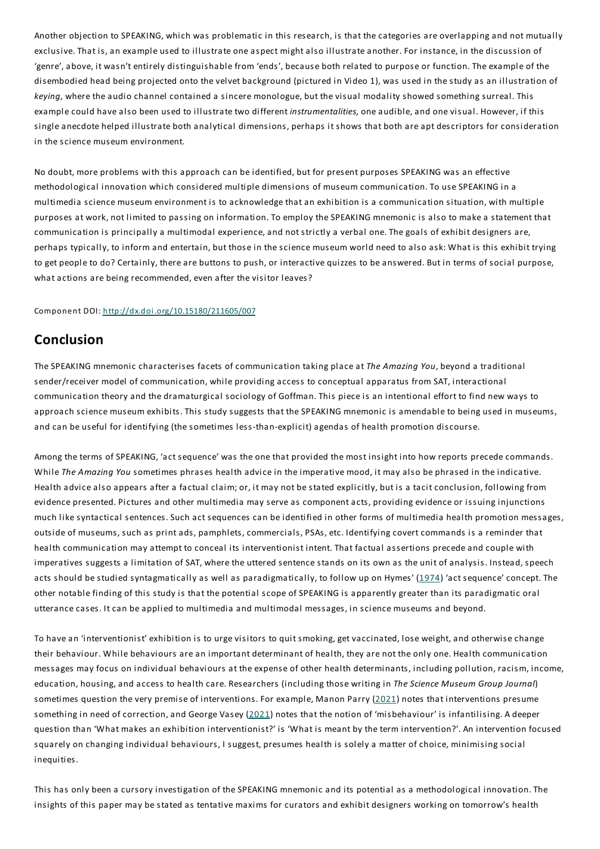Another objection to SPEAKING, which was problematic in this research, is that the categories are overlapping and not mutually exclusive.That is, an example used to illustrate one aspect might also illustrate another. For instance, in the discussion of 'genre', above, it wasn't entirely distinguishable from 'ends', because both related to purpose or function.The example of the disembodied head being projected onto the velvet background (pictured in Video 1), was used in the study as an illustration of *keying,* where the audio channel contained a sincere monologue, but the visual modality showed something surreal.This example could have also been used to illustrate two different *instrumentalities,* one audible, and one visual. However, if this single anecdote helped illustrate both analytical dimensions, perhaps it shows that both are apt descriptors for consideration in the science museum environment.

No doubt, more problems with this approach can be identified, but for present purposes SPEAKING was an effective methodological innovation which considered multiple dimensions of museum communication.To use SPEAKING in a multimedia science museum environment is to acknowledge that an exhibition is a communication situation, with multiple purposes at work, not limited to passing on information.To employ the SPEAKING mnemonic is also to make a statement that communication is principally a multimodal experience, and not strictly a verbal one.The goals of exhibit designers are, perhaps typically, to inform and entertain, but those in the science museum world need to also ask: What is this exhibit trying to get people to do? Certainly, there are buttons to push, or interactive quizzes to be answered. But in terms of social purpose, what actions are being recommended, even after the visitor leaves?

#### Component DOI: http://dx.doi.org/10.15180/211605/007

## **Conclusion**

The SPEAKING mnemonic characterises facets of communication taking place at*The Amazing You*, beyond a traditional sender/receiver model of communication, while providing access to conceptual apparatus from SAT, interactional communication theory and the dramaturgical sociology of Goffman.This piece is an intentional effort to find new ways to approach science museum exhibits. This study suggests that the SPEAKING mnemonic is amendable to being used in museums, and can be useful for identifying (the sometimes less-than-explicit) agendas of health promotion discourse.

Among the terms of SPEAKING, 'act sequence' was the one that provided the most insight into how reports precede commands. While *The Amazing You* sometimes phrases health advice in the imperative mood, it may also be phrased in the indicative. Health advice also appears after a factual claim; or, it may not be stated explicitly, but is a tacit conclusion, following from evidence presented. Pictures and other multimedia may serve as component acts, providing evidence or issuing injunctions much like syntactical sentences. Such act sequences can be identified in other forms of multimedia health promotion messages, outside of museums, such as print ads, pamphlets, commercials, PSAs, etc. Identifying covert commands is a reminder that health communication may attempt to conceal its interventionist intent.That factual assertions precede and couple with imperatives suggests a limitation of SAT, where the uttered sentence stands on its own as the unit of analysis. Instead, speech acts should be studied syntagmatically as well as paradigmatically, to follow up on Hymes' (1974) 'act sequence' concept. The other notable finding of this study is that the potential scope of SPEAKING is apparently greater than its paradigmatic oral utterance cases. It can be applied to multimedia and multimodal messages, in science museums and beyond.

To have an 'interventionist' exhibition is to urge visitors to quit smoking, get vaccinated, lose weight, and otherwise change their behaviour. While behaviours are an important determinant of health, they are not the only one. Health communication messages may focus on individual behaviours at the expense of other health determinants, including pollution, racism, income, education, housing, and access to health care. Researchers (including those writing in *The Science Museum Group Journal*) sometimes question the very premise of interventions. For example, Manon Parry (2021) notes that interventions presume something in need of correction, and George Vasey (2021) notes that the notion of 'misbehaviour' is infantilising. A deeper question than 'What makes an exhibition interventionist?' is 'What is meant by the term intervention?'. An intervention focused squarely on changing individual behaviours, I suggest, presumes health is solely a matter of choice, minimising social inequities.

This has only been a cursory investigation of the SPEAKING mnemonic and its potential as a methodological innovation.The insights of this paper may be stated as tentative maxims for curators and exhibit designers working on tomorrow's health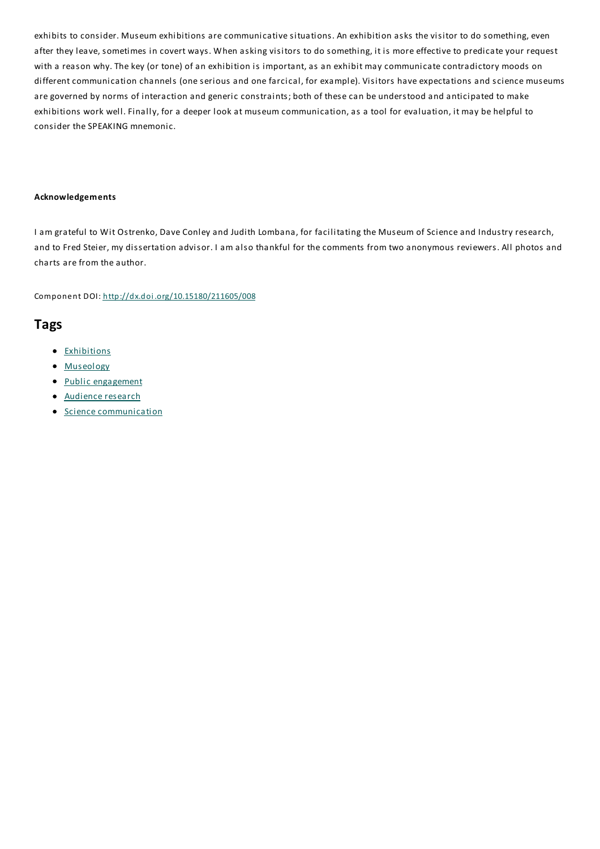exhibits to consider. Museum exhibitions are communicative situations. An exhibition asks the visitor to do something, even after they leave, sometimes in covert ways. When asking visitors to do something, it is more effective to predicate your request with a reason why.The key (or tone) of an exhibition is important, as an exhibit may communicate contradictory moods on different communication channels (one serious and one farcical, for example). Visitors have expectations and science museums are governed by norms of interaction and generic constraints; both of these can be understood and anticipated to make exhibitions work well. Finally, for a deeper look at museum communication, as a tool for evaluation, it may be helpful to consider the SPEAKING mnemonic.

#### **Acknowledgements**

I am grateful to Wit Ostrenko, Dave Conley and Judith Lombana, for facilitating the Museum of Science and Industry research, and to Fred Steier, my dissertation advisor. I am also thankful for the comments from two anonymous reviewers. All photos and charts are from the author.

Component DOI: http://dx.doi.org/10.15180/211605/008

# **Tags**

- **•** Exhibitions
- Museology
- Public engagement
- Audience research
- **•** Science communication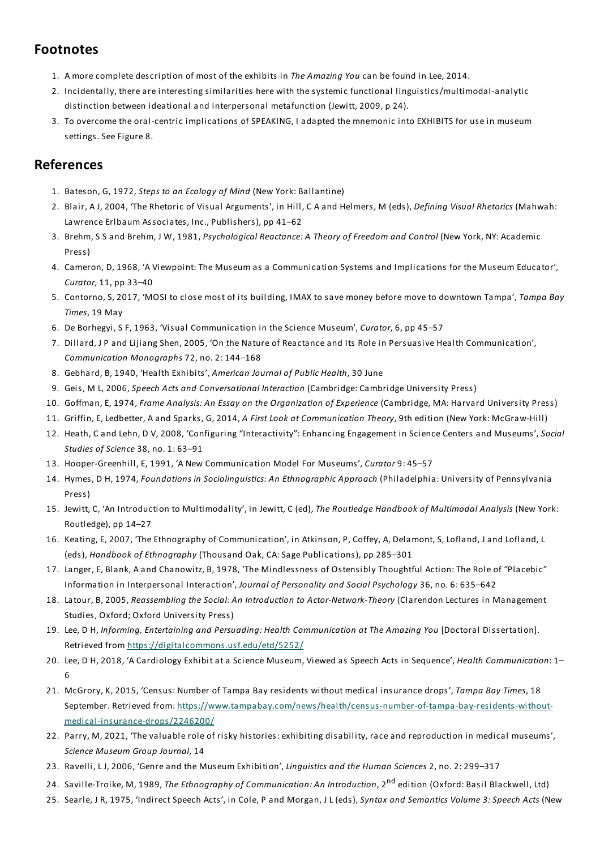# **Footnotes**

- 1. A more complete description of most of the exhibits in *The Amazing You* can be found in Lee, 2014.
- 2. Incidentally, there are interesting similarities here with the systemic functional linguistics/multimodal-analytic distinction between ideational and interpersonal metafunction (Jewitt, 2009, p 24).
- 3. To overcome the oral-centric implications of SPEAKING, I adapted the mnemonic into EXHIBITS for use in museum settings. See Figure 8.

# **References**

- 1. Bateson, G, 1972, *Steps to an Ecology of Mind* (New York: Ballantine)
- 2. Blair, A J, 2004, 'The Rhetoric of Visual Arguments', in Hill, C A and Helmers, M (eds), *Defining Visual Rhetorics* (Mahwah: Lawrence Erlbaum Associates, Inc., Publishers), pp 41–62
- 3. Brehm, S S and Brehm, J W, 1981, *Psychological Reactance: A Theory of Freedom and Control* (New York, NY: Academic Press)
- 4. Cameron, D, 1968, 'A Viewpoint:The Museum as a Communication Systems and Implications for the Museum Educator', *Curator*, 11, pp 33–40
- 5. Contorno, S, 2017, 'MOSI to close most of its building, IMAX to save money before move to downtown Tampa',*Tampa Bay Times*, 19 May
- 6. De Borhegyi, S F, 1963, 'Visual Communication in the Science Museum', *Curator*, 6, pp 45–57
- 7. Dillard, J P and Lijiang Shen, 2005, 'On the Nature of Reactance and Its Role in Persuasive Health Communication', *Communication Monographs* 72, no. 2: 144–168
- 8. Gebhard, B, 1940, 'Health Exhibits', *American Journal of Public Health*, 30 June
- 9. Geis, M L, 2006, *Speech Acts and Conversational Interaction* (Cambridge: Cambridge University Press)
- 10. Goffman,E, 1974, *Frame Analysis: An Essay on the Organization of Experience* (Cambridge, MA: Harvard University Press)
- 11. Griffin,E, Ledbetter, A and Sparks, G, 2014, *A First Look at Communication Theory*, 9th edition (New York: McGraw-Hill)
- 12. Heath, C and Lehn, D V, 2008, 'Configuring "Interactivity":Enhancing Engagement in Science Centers and Museums', *Social Studies of Science* 38, no. 1: 63–91
- 13. Hooper-Greenhill,E, 1991, 'A New Communication Model For Museums', *Curator* 9: 45–57
- 14. Hymes, D H, 1974, *Foundations in Sociolinguistics: An Ethnographic Approach* (Philadelphia: University of Pennsylvania Press)
- 15. Jewitt, C, 'An Introduction to Multimodality', in Jewitt, C (ed),*The Routledge Handbook of Multimodal Analysis* (New York: Routledge), pp 14–27
- 16. Keating,E, 2007, 'The Ethnography of Communication', in Atkinson, P, Coffey, A, Delamont, S, Lofland, J and Lofland, L (eds), *Handbook of Ethnography* (Thousand Oak, CA:Sage Publications), pp 285–301
- 17. Langer,E, Blank, A and Chanowitz, B, 1978, 'The Mindlessness of Ostensibly Thoughtful Action:The Role of "Placebic" Information in Interpersonal Interaction', *Journal of Personality and Social Psychology* 36, no. 6: 635–642
- 18. Latour, B, 2005, *Reassembling the Social: An Introduction to Actor-Network-Theory* (Clarendon Lectures in Management Studies, Oxford; Oxford University Press)
- 19. Lee, D H, *Informing,Entertaining and Persuading: Health Communication atThe Amazing You* [Doctoral Dissertation]. Retrieved from https://digitalcommons.usf.edu/etd/5252/
- 20. Lee, D H, 2018, 'A Cardiology Exhibit at a Science Museum, Viewed as Speech Acts in Sequence', *Health Communication*: 1– 6
- 21. McGrory, K, 2015, 'Census: Number of Tampa Bay residents without medical insurance drops',*Tampa Bay Times*, 18 September. Retrieved from: https://www.tampabay.com/news/health/census-number-of-tampa-bay-residents-withoutmedical-insurance-drops/2246200/
- 22. Parry, M, 2021, 'The valuable role of risky histories: exhibiting disability, race and reproduction in medical museums', *Science Museum Group Journal*, 14
- 23. Ravelli, L J, 2006, 'Genre and the Museum Exhibition', *Linguistics and the Human Sciences* 2, no. 2: 299–317
- 24. Saville-Troike, M, 1989,*The Ethnography of Communication: An Introduction*, 2 nd edition (Oxford: Basil Blackwell, Ltd)
- 25. Searle, J R, 1975, 'Indirect Speech Acts', in Cole, P and Morgan, J L (eds), *Syntax and Semantics Volume 3:Speech Acts* (New